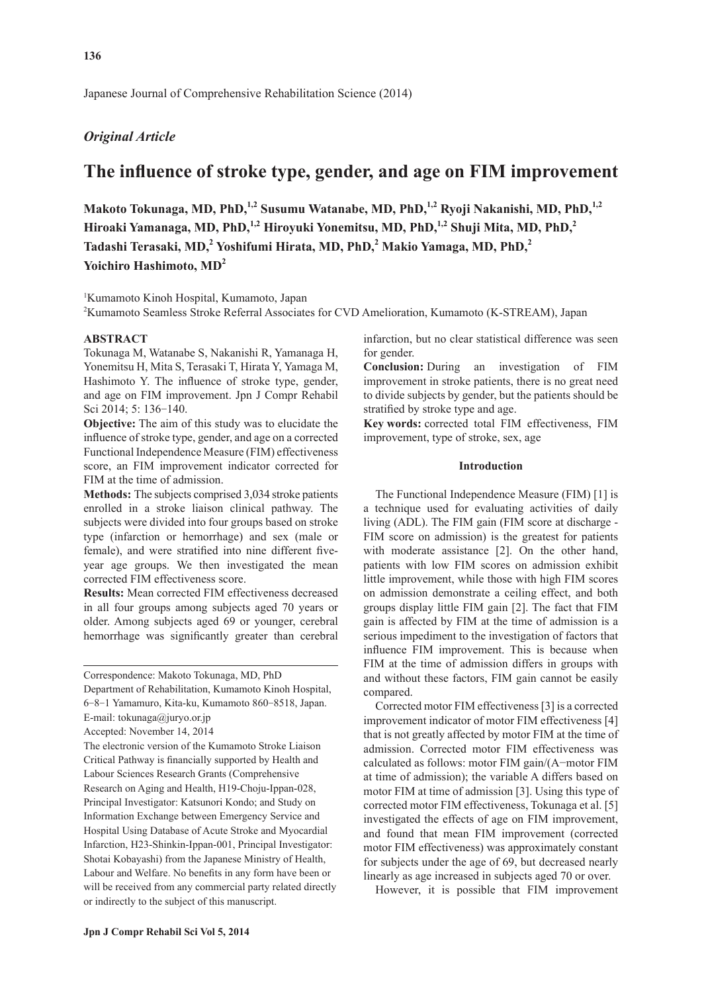Japanese Journal of Comprehensive Rehabilitation Science (2014)

# *Original Article*

# **The influence of stroke type, gender, and age on FIM improvement**

Makoto Tokunaga, MD, PhD,<sup>1,2</sup> Susumu Watanabe, MD, PhD,<sup>1,2</sup> Ryoji Nakanishi, MD, PhD,<sup>1,2</sup> Hiroaki Yamanaga, MD, PhD,<sup>1,2</sup> Hiroyuki Yonemitsu, MD, PhD,<sup>1,2</sup> Shuji Mita, MD, PhD,<sup>2</sup> **Tadashi Terasaki, MD,2 Yoshifumi Hirata, MD, PhD,2 Makio Yamaga, MD, PhD,<sup>2</sup> Yoichiro Hashimoto, MD2**

1 Kumamoto Kinoh Hospital, Kumamoto, Japan

2 Kumamoto Seamless Stroke Referral Associates for CVD Amelioration, Kumamoto (K-STREAM), Japan

#### **ABSTRACT**

Tokunaga M, Watanabe S, Nakanishi R, Yamanaga H, Yonemitsu H, Mita S, Terasaki T, Hirata Y, Yamaga M, Hashimoto Y. The influence of stroke type, gender, and age on FIM improvement. Jpn J Compr Rehabil Sci 2014; 5: 136-140.

**Objective:** The aim of this study was to elucidate the influence of stroke type, gender, and age on a corrected Functional Independence Measure (FIM) effectiveness score, an FIM improvement indicator corrected for FIM at the time of admission.

**Methods:** The subjects comprised 3,034 stroke patients enrolled in a stroke liaison clinical pathway. The subjects were divided into four groups based on stroke type (infarction or hemorrhage) and sex (male or female), and were stratified into nine different fiveyear age groups. We then investigated the mean corrected FIM effectiveness score.

**Results:** Mean corrected FIM effectiveness decreased in all four groups among subjects aged 70 years or older. Among subjects aged 69 or younger, cerebral hemorrhage was significantly greater than cerebral

Department of Rehabilitation, Kumamoto Kinoh Hospital, 6-8-1 Yamamuro, Kita-ku, Kumamoto 860-8518, Japan.

Accepted: November 14, 2014

The electronic version of the Kumamoto Stroke Liaison Critical Pathway is financially supported by Health and Labour Sciences Research Grants (Comprehensive Research on Aging and Health, H19-Choju-Ippan-028, Principal Investigator: Katsunori Kondo; and Study on Information Exchange between Emergency Service and Hospital Using Database of Acute Stroke and Myocardial Infarction, H23-Shinkin-Ippan-001, Principal Investigator: Shotai Kobayashi) from the Japanese Ministry of Health, Labour and Welfare. No benefits in any form have been or will be received from any commercial party related directly or indirectly to the subject of this manuscript.

infarction, but no clear statistical difference was seen for gender.

**Conclusion:** During an investigation of FIM improvement in stroke patients, there is no great need to divide subjects by gender, but the patients should be stratified by stroke type and age.

**Key words:** corrected total FIM effectiveness, FIM improvement, type of stroke, sex, age

## **Introduction**

The Functional Independence Measure (FIM) [1] is a technique used for evaluating activities of daily living (ADL). The FIM gain (FIM score at discharge - FIM score on admission) is the greatest for patients with moderate assistance [2]. On the other hand, patients with low FIM scores on admission exhibit little improvement, while those with high FIM scores on admission demonstrate a ceiling effect, and both groups display little FIM gain [2]. The fact that FIM gain is affected by FIM at the time of admission is a serious impediment to the investigation of factors that influence FIM improvement. This is because when FIM at the time of admission differs in groups with and without these factors, FIM gain cannot be easily compared.

Corrected motor FIM effectiveness [3] is a corrected improvement indicator of motor FIM effectiveness [4] that is not greatly affected by motor FIM at the time of admission. Corrected motor FIM effectiveness was calculated as follows: motor FIM gain/(A−motor FIM at time of admission); the variable A differs based on motor FIM at time of admission [3]. Using this type of corrected motor FIM effectiveness, Tokunaga et al. [5] investigated the effects of age on FIM improvement, and found that mean FIM improvement (corrected motor FIM effectiveness) was approximately constant for subjects under the age of 69, but decreased nearly linearly as age increased in subjects aged 70 or over.

However, it is possible that FIM improvement

Correspondence: Makoto Tokunaga, MD, PhD

E-mail: tokunaga@juryo.or.jp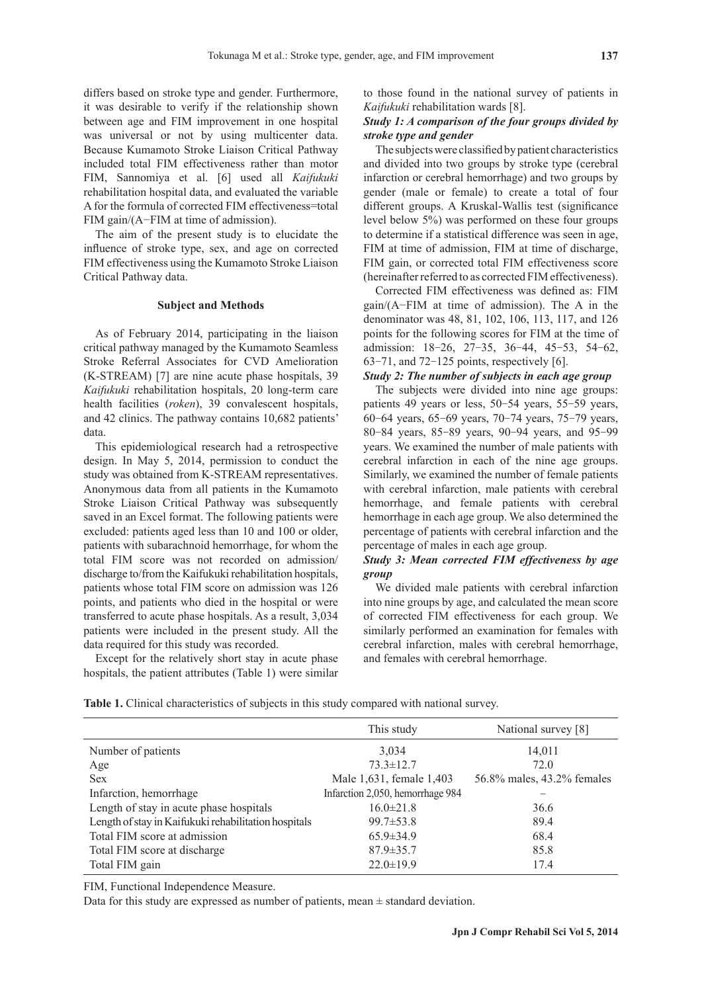differs based on stroke type and gender. Furthermore, it was desirable to verify if the relationship shown between age and FIM improvement in one hospital was universal or not by using multicenter data. Because Kumamoto Stroke Liaison Critical Pathway included total FIM effectiveness rather than motor FIM, Sannomiya et al. [6] used all *Kaifukuki* rehabilitation hospital data, and evaluated the variable A for the formula of corrected FIM effectiveness=total FIM gain/(A−FIM at time of admission).

The aim of the present study is to elucidate the influence of stroke type, sex, and age on corrected FIM effectiveness using the Kumamoto Stroke Liaison Critical Pathway data.

### **Subject and Methods**

As of February 2014, participating in the liaison critical pathway managed by the Kumamoto Seamless Stroke Referral Associates for CVD Amelioration (K-STREAM) [7] are nine acute phase hospitals, 39 *Kaifukuki* rehabilitation hospitals, 20 long-term care health facilities (*roken*), 39 convalescent hospitals, and 42 clinics. The pathway contains 10,682 patients' data.

This epidemiological research had a retrospective design. In May 5, 2014, permission to conduct the study was obtained from K-STREAM representatives. Anonymous data from all patients in the Kumamoto Stroke Liaison Critical Pathway was subsequently saved in an Excel format. The following patients were excluded: patients aged less than 10 and 100 or older, patients with subarachnoid hemorrhage, for whom the total FIM score was not recorded on admission/ discharge to/from the Kaifukuki rehabilitation hospitals, patients whose total FIM score on admission was 126 points, and patients who died in the hospital or were transferred to acute phase hospitals. As a result, 3,034 patients were included in the present study. All the data required for this study was recorded.

Except for the relatively short stay in acute phase hospitals, the patient attributes (Table 1) were similar

to those found in the national survey of patients in *Kaifukuki* rehabilitation wards [8].

# *Study 1: A comparison of the four groups divided by stroke type and gender*

The subjects were classified by patient characteristics and divided into two groups by stroke type (cerebral infarction or cerebral hemorrhage) and two groups by gender (male or female) to create a total of four different groups. A Kruskal-Wallis test (significance level below 5%) was performed on these four groups to determine if a statistical difference was seen in age, FIM at time of admission, FIM at time of discharge, FIM gain, or corrected total FIM effectiveness score (hereinafter referred to as corrected FIM effectiveness).

Corrected FIM effectiveness was defined as: FIM gain/(A−FIM at time of admission). The A in the denominator was 48, 81, 102, 106, 113, 117, and 126 points for the following scores for FIM at the time of admission: 18-26, 27-35, 36-44, 45-53, 54-62, 63-71, and 72-125 points, respectively [6].

## *Study 2: The number of subjects in each age group*

The subjects were divided into nine age groups: patients 49 years or less, 50-54 years, 55-59 years, 60-64 years, 65-69 years, 70-74 years, 75-79 years, 80-84 years, 85-89 years, 90-94 years, and 95-99 years. We examined the number of male patients with cerebral infarction in each of the nine age groups. Similarly, we examined the number of female patients with cerebral infarction, male patients with cerebral hemorrhage, and female patients with cerebral hemorrhage in each age group. We also determined the percentage of patients with cerebral infarction and the percentage of males in each age group.

# *Study 3: Mean corrected FIM effectiveness by age group*

We divided male patients with cerebral infarction into nine groups by age, and calculated the mean score of corrected FIM effectiveness for each group. We similarly performed an examination for females with cerebral infarction, males with cerebral hemorrhage, and females with cerebral hemorrhage.

**Table 1.** Clinical characteristics of subjects in this study compared with national survey.

|                                                      | This study                       | National survey [8]        |
|------------------------------------------------------|----------------------------------|----------------------------|
| Number of patients                                   | 3.034                            | 14,011                     |
| Age                                                  | $73.3 \pm 12.7$                  | 72.0                       |
| <b>Sex</b>                                           | Male 1,631, female 1,403         | 56.8% males, 43.2% females |
| Infarction, hemorrhage                               | Infarction 2,050, hemorrhage 984 |                            |
| Length of stay in acute phase hospitals              | $16.0 \pm 21.8$                  | 36.6                       |
| Length of stay in Kaifukuki rehabilitation hospitals | $99.7 \pm 53.8$                  | 89.4                       |
| Total FIM score at admission                         | $65.9 \pm 34.9$                  | 68.4                       |
| Total FIM score at discharge                         | $87.9 \pm 35.7$                  | 85.8                       |
| Total FIM gain                                       | $22.0 \pm 19.9$                  | 17.4                       |

FIM, Functional Independence Measure.

Data for this study are expressed as number of patients, mean  $\pm$  standard deviation.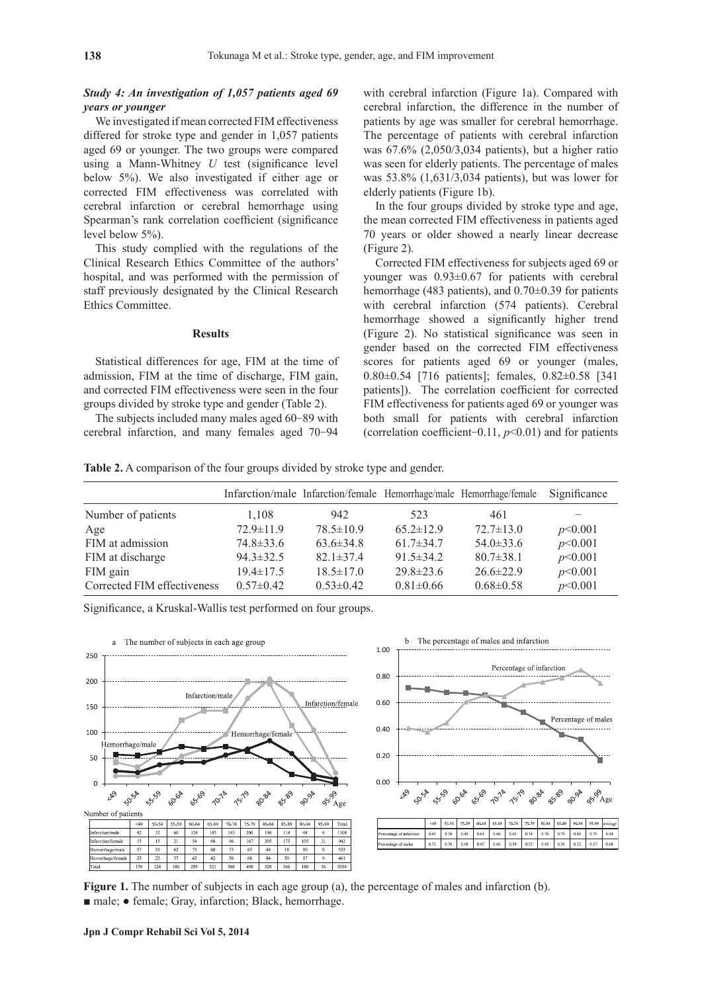# *Study 4: An investigation of 1,057 patients aged 69 years or younger*

We investigated if mean corrected FIM effectiveness differed for stroke type and gender in 1,057 patients aged 69 or younger. The two groups were compared using a Mann-Whitney *U* test (significance level below 5%). We also investigated if either age or corrected FIM effectiveness was correlated with cerebral infarction or cerebral hemorrhage using Spearman's rank correlation coefficient (significance level below 5%).

This study complied with the regulations of the Clinical Research Ethics Committee of the authors' hospital, and was performed with the permission of staff previously designated by the Clinical Research Ethics Committee.

### **Results**

Statistical differences for age, FIM at the time of admission, FIM at the time of discharge, FIM gain, and corrected FIM effectiveness were seen in the four groups divided by stroke type and gender (Table 2).

The subjects included many males aged 60-89 with cerebral infarction, and many females aged 70-94 with cerebral infarction (Figure 1a). Compared with cerebral infarction, the difference in the number of patients by age was smaller for cerebral hemorrhage. The percentage of patients with cerebral infarction was 67.6% (2,050/3,034 patients), but a higher ratio was seen for elderly patients. The percentage of males was 53.8% (1,631/3,034 patients), but was lower for elderly patients (Figure 1b).

In the four groups divided by stroke type and age, the mean corrected FIM effectiveness in patients aged 70 years or older showed a nearly linear decrease (Figure 2).

Corrected FIM effectiveness for subjects aged 69 or younger was 0.93±0.67 for patients with cerebral hemorrhage (483 patients), and 0.70 $\pm$ 0.39 for patients with cerebral infarction (574 patients). Cerebral hemorrhage showed a significantly higher trend (Figure 2). No statistical significance was seen in gender based on the corrected FIM effectiveness scores for patients aged 69 or younger (males, 0.80±0.54 [716 patients]; females, 0.82±0.58 [341 patients]). The correlation coefficient for corrected FIM effectiveness for patients aged 69 or younger was both small for patients with cerebral infarction (correlation coefficient-0.11, *p*<0.01) and for patients

**Table 2.** A comparison of the four groups divided by stroke type and gender.

|                             |                 |                 |                 | Infarction/male Infarction/female Hemorrhage/male Hemorrhage/female | Significance |
|-----------------------------|-----------------|-----------------|-----------------|---------------------------------------------------------------------|--------------|
| Number of patients          | 1,108           | 942             | 523             | 461                                                                 |              |
| Age                         | $72.9 \pm 11.9$ | $78.5 \pm 10.9$ | $65.2 \pm 12.9$ | $72.7 \pm 13.0$                                                     | p<0.001      |
| FIM at admission            | $74.8 \pm 33.6$ | $63.6\pm34.8$   | $61.7 \pm 34.7$ | $54.0\pm33.6$                                                       | p<0.001      |
| FIM at discharge            | $94.3 \pm 32.5$ | $82.1 \pm 37.4$ | $91.5 \pm 34.2$ | $80.7 \pm 38.1$                                                     | p<0.001      |
| FIM gain                    | $19.4 \pm 17.5$ | $18.5 \pm 17.0$ | $29.8 \pm 23.6$ | $26.6 \pm 22.9$                                                     | p<0.001      |
| Corrected FIM effectiveness | $0.57 \pm 0.42$ | $0.53 \pm 0.42$ | $0.81 \pm 0.66$ | $0.68 \pm 0.58$                                                     | p<0.001      |

Significance, a Kruskal-Wallis test performed on four groups.



**Figure 1.** The number of subjects in each age group (a), the percentage of males and infarction (b). ■ male; • female; Gray, infarction; Black, hemorrhage.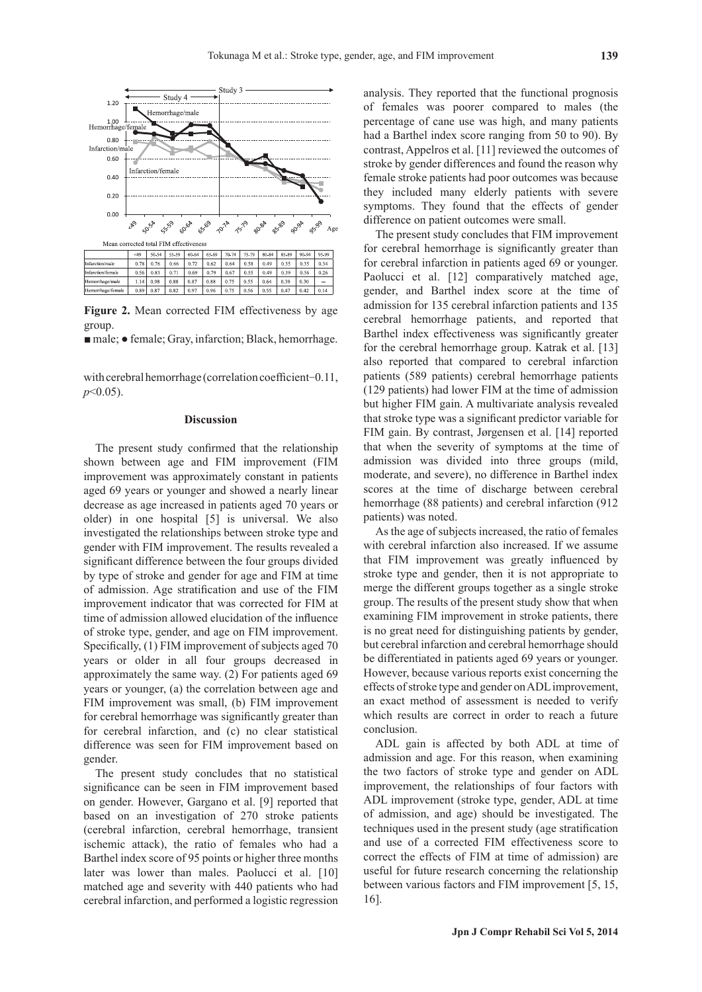

**Figure 2.** Mean corrected FIM effectiveness by age group.

■ male; • female; Gray, infarction; Black, hemorrhage.

with cerebral hemorrhage (correlation coefficient-0.11, *p*<0.05).

### **Discussion**

The present study confirmed that the relationship shown between age and FIM improvement (FIM improvement was approximately constant in patients aged 69 years or younger and showed a nearly linear decrease as age increased in patients aged 70 years or older) in one hospital [5] is universal. We also investigated the relationships between stroke type and gender with FIM improvement. The results revealed a significant difference between the four groups divided by type of stroke and gender for age and FIM at time of admission. Age stratification and use of the FIM improvement indicator that was corrected for FIM at time of admission allowed elucidation of the influence of stroke type, gender, and age on FIM improvement. Specifically, (1) FIM improvement of subjects aged 70 years or older in all four groups decreased in approximately the same way. (2) For patients aged 69 years or younger, (a) the correlation between age and FIM improvement was small, (b) FIM improvement for cerebral hemorrhage was significantly greater than for cerebral infarction, and (c) no clear statistical difference was seen for FIM improvement based on gender.

The present study concludes that no statistical significance can be seen in FIM improvement based on gender. However, Gargano et al. [9] reported that based on an investigation of 270 stroke patients (cerebral infarction, cerebral hemorrhage, transient ischemic attack), the ratio of females who had a Barthel index score of 95 points or higher three months later was lower than males. Paolucci et al. [10] matched age and severity with 440 patients who had cerebral infarction, and performed a logistic regression analysis. They reported that the functional prognosis of females was poorer compared to males (the percentage of cane use was high, and many patients had a Barthel index score ranging from 50 to 90). By contrast, Appelros et al. [11] reviewed the outcomes of stroke by gender differences and found the reason why female stroke patients had poor outcomes was because they included many elderly patients with severe symptoms. They found that the effects of gender difference on patient outcomes were small.

The present study concludes that FIM improvement for cerebral hemorrhage is significantly greater than for cerebral infarction in patients aged 69 or younger. Paolucci et al. [12] comparatively matched age, gender, and Barthel index score at the time of admission for 135 cerebral infarction patients and 135 cerebral hemorrhage patients, and reported that Barthel index effectiveness was significantly greater for the cerebral hemorrhage group. Katrak et al. [13] also reported that compared to cerebral infarction patients (589 patients) cerebral hemorrhage patients (129 patients) had lower FIM at the time of admission but higher FIM gain. A multivariate analysis revealed that stroke type was a significant predictor variable for FIM gain. By contrast, Jørgensen et al. [14] reported that when the severity of symptoms at the time of admission was divided into three groups (mild, moderate, and severe), no difference in Barthel index scores at the time of discharge between cerebral hemorrhage (88 patients) and cerebral infarction (912 patients) was noted.

As the age of subjects increased, the ratio of females with cerebral infarction also increased. If we assume that FIM improvement was greatly influenced by stroke type and gender, then it is not appropriate to merge the different groups together as a single stroke group. The results of the present study show that when examining FIM improvement in stroke patients, there is no great need for distinguishing patients by gender, but cerebral infarction and cerebral hemorrhage should be differentiated in patients aged 69 years or younger. However, because various reports exist concerning the effects of stroke type and gender on ADL improvement, an exact method of assessment is needed to verify which results are correct in order to reach a future conclusion.

ADL gain is affected by both ADL at time of admission and age. For this reason, when examining the two factors of stroke type and gender on ADL improvement, the relationships of four factors with ADL improvement (stroke type, gender, ADL at time of admission, and age) should be investigated. The techniques used in the present study (age stratification and use of a corrected FIM effectiveness score to correct the effects of FIM at time of admission) are useful for future research concerning the relationship between various factors and FIM improvement [5, 15, 16].